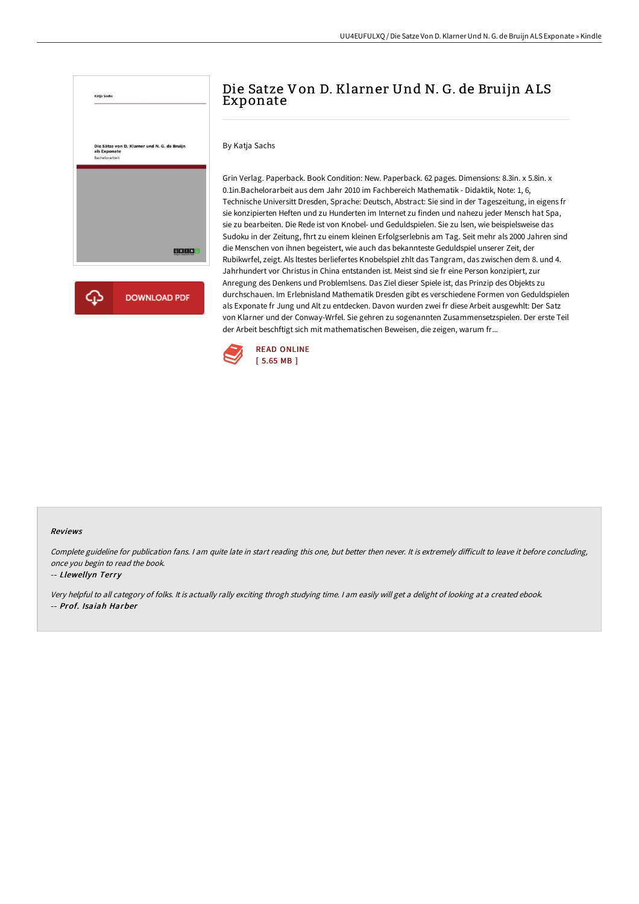

# Die Satze Von D. Klarner Und N. G. de Bruijn A LS Exponate

By Katja Sachs

Grin Verlag. Paperback. Book Condition: New. Paperback. 62 pages. Dimensions: 8.3in. x 5.8in. x 0.1in.Bachelorarbeit aus dem Jahr 2010 im Fachbereich Mathematik - Didaktik, Note: 1, 6, Technische Universitt Dresden, Sprache: Deutsch, Abstract: Sie sind in der Tageszeitung, in eigens fr sie konzipierten Heften und zu Hunderten im Internet zu finden und nahezu jeder Mensch hat Spa, sie zu bearbeiten. Die Rede ist von Knobel- und Geduldspielen. Sie zu lsen, wie beispielsweise das Sudoku in der Zeitung, fhrt zu einem kleinen Erfolgserlebnis am Tag. Seit mehr als 2000 Jahren sind die Menschen von ihnen begeistert, wie auch das bekannteste Geduldspiel unserer Zeit, der Rubikwrfel, zeigt. Als ltestes berliefertes Knobelspiel zhlt das Tangram, das zwischen dem 8. und 4. Jahrhundert vor Christus in China entstanden ist. Meist sind sie fr eine Person konzipiert, zur Anregung des Denkens und Problemlsens. Das Ziel dieser Spiele ist, das Prinzip des Objekts zu durchschauen. Im Erlebnisland Mathematik Dresden gibt es verschiedene Formen von Geduldspielen als Exponate fr Jung und Alt zu entdecken. Davon wurden zwei fr diese Arbeit ausgewhlt: Der Satz von Klarner und der Conway-Wrfel. Sie gehren zu sogenannten Zusammensetzspielen. Der erste Teil der Arbeit beschftigt sich mit mathematischen Beweisen, die zeigen, warum fr...



#### Reviews

Complete guideline for publication fans. I am quite late in start reading this one, but better then never. It is extremely difficult to leave it before concluding, once you begin to read the book.

#### -- Llewellyn Terry

Very helpful to all category of folks. It is actually rally exciting throgh studying time. <sup>I</sup> am easily will get <sup>a</sup> delight of looking at <sup>a</sup> created ebook. -- Prof. Isaiah Harber